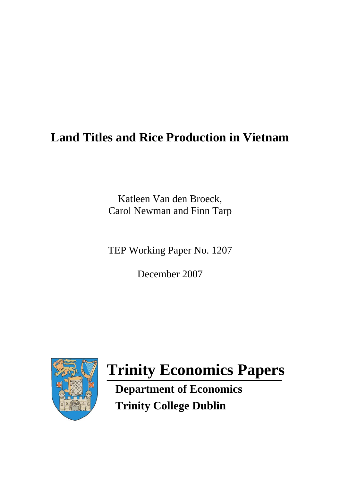## **Land Titles and Rice Production in Vietnam**

Katleen Van den Broeck, Carol Newman and Finn Tarp

TEP Working Paper No. 1207

December 2007



# **Trinity Economics Papers**

 **Department of Economics Trinity College Dublin**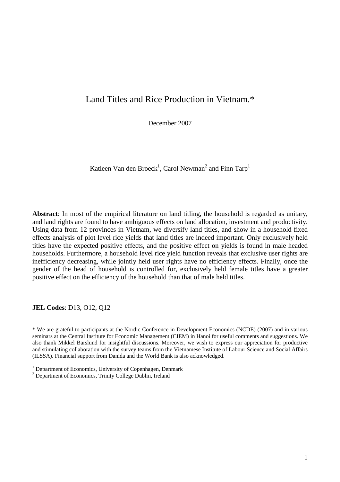## Land Titles and Rice Production in Vietnam.\*

December 2007

Katleen Van den Broeck<sup>1</sup>, Carol Newman<sup>2</sup> and Finn Tarp<sup>1</sup>

**Abstract**: In most of the empirical literature on land titling, the household is regarded as unitary, and land rights are found to have ambiguous effects on land allocation, investment and productivity. Using data from 12 provinces in Vietnam, we diversify land titles, and show in a household fixed effects analysis of plot level rice yields that land titles are indeed important. Only exclusively held titles have the expected positive effects, and the positive effect on yields is found in male headed households. Furthermore, a household level rice yield function reveals that exclusive user rights are inefficiency decreasing, while jointly held user rights have no efficiency effects. Finally, once the gender of the head of household is controlled for, exclusively held female titles have a greater positive effect on the efficiency of the household than that of male held titles.

**JEL Codes**: D13, O12, Q12

\* We are grateful to participants at the Nordic Conference in Development Economics (NCDE) (2007) and in various seminars at the Central Institute for Economic Management (CIEM) in Hanoi for useful comments and suggestions. We also thank Mikkel Barslund for insightful discussions. Moreover, we wish to express our appreciation for productive and stimulating collaboration with the survey teams from the Vietnamese Institute of Labour Science and Social Affairs (ILSSA). Financial support from Danida and the World Bank is also acknowledged.

- <sup>1</sup> Department of Economics, University of Copenhagen, Denmark
- <sup>2</sup> Department of Economics, Trinity College Dublin, Ireland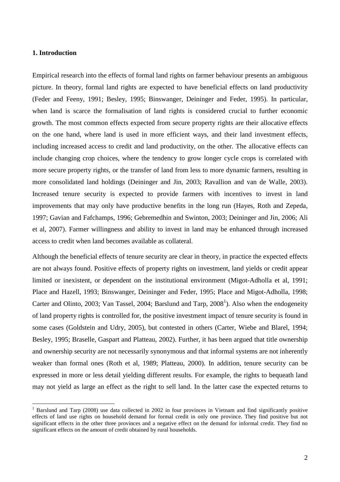#### **1. Introduction**

 $\overline{a}$ 

Empirical research into the effects of formal land rights on farmer behaviour presents an ambiguous picture. In theory, formal land rights are expected to have beneficial effects on land productivity (Feder and Feeny, 1991; Besley, 1995; Binswanger, Deininger and Feder, 1995). In particular, when land is scarce the formalisation of land rights is considered crucial to further economic growth. The most common effects expected from secure property rights are their allocative effects on the one hand, where land is used in more efficient ways, and their land investment effects, including increased access to credit and land productivity, on the other. The allocative effects can include changing crop choices, where the tendency to grow longer cycle crops is correlated with more secure property rights, or the transfer of land from less to more dynamic farmers, resulting in more consolidated land holdings (Deininger and Jin, 2003; Ravallion and van de Walle, 2003). Increased tenure security is expected to provide farmers with incentives to invest in land improvements that may only have productive benefits in the long run (Hayes, Roth and Zepeda, 1997; Gavian and Fafchamps, 1996; Gebremedhin and Swinton, 2003; Deininger and Jin, 2006; Ali et al, 2007). Farmer willingness and ability to invest in land may be enhanced through increased access to credit when land becomes available as collateral.

Although the beneficial effects of tenure security are clear in theory, in practice the expected effects are not always found. Positive effects of property rights on investment, land yields or credit appear limited or inexistent, or dependent on the institutional environment (Migot-Adholla et al, 1991; Place and Hazell, 1993; Binswanger, Deininger and Feder, 1995; Place and Migot-Adholla, 1998; Carter and Olinto, 2003; Van Tassel, 2004; Barslund and Tarp,  $2008<sup>1</sup>$ ). Also when the endogeneity of land property rights is controlled for, the positive investment impact of tenure security is found in some cases (Goldstein and Udry, 2005), but contested in others (Carter, Wiebe and Blarel, 1994; Besley, 1995; Braselle, Gaspart and Platteau, 2002). Further, it has been argued that title ownership and ownership security are not necessarily synonymous and that informal systems are not inherently weaker than formal ones (Roth et al, 1989; Platteau, 2000). In addition, tenure security can be expressed in more or less detail yielding different results. For example, the rights to bequeath land may not yield as large an effect as the right to sell land. In the latter case the expected returns to

<sup>&</sup>lt;sup>1</sup> Barslund and Tarp (2008) use data collected in 2002 in four provinces in Vietnam and find significantly positive effects of land use rights on household demand for formal credit in only one province. They find positive but not significant effects in the other three provinces and a negative effect on the demand for informal credit. They find no significant effects on the amount of credit obtained by rural households.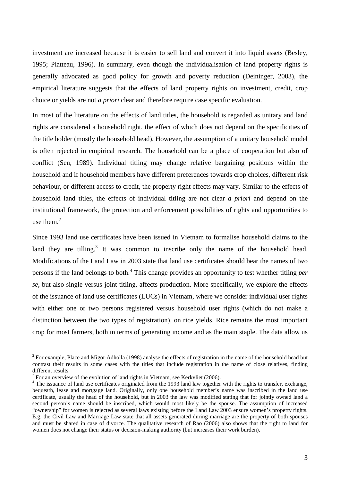investment are increased because it is easier to sell land and convert it into liquid assets (Besley, 1995; Platteau, 1996). In summary, even though the individualisation of land property rights is generally advocated as good policy for growth and poverty reduction (Deininger, 2003), the empirical literature suggests that the effects of land property rights on investment, credit, crop choice or yields are not *a priori* clear and therefore require case specific evaluation.

In most of the literature on the effects of land titles, the household is regarded as unitary and land rights are considered a household right, the effect of which does not depend on the specificities of the title holder (mostly the household head). However, the assumption of a unitary household model is often rejected in empirical research. The household can be a place of cooperation but also of conflict (Sen, 1989). Individual titling may change relative bargaining positions within the household and if household members have different preferences towards crop choices, different risk behaviour, or different access to credit, the property right effects may vary. Similar to the effects of household land titles, the effects of individual titling are not clear *a priori* and depend on the institutional framework, the protection and enforcement possibilities of rights and opportunities to use them.<sup>2</sup>

Since 1993 land use certificates have been issued in Vietnam to formalise household claims to the land they are tilling.<sup>3</sup> It was common to inscribe only the name of the household head. Modifications of the Land Law in 2003 state that land use certificates should bear the names of two persons if the land belongs to both.<sup>4</sup> This change provides an opportunity to test whether titling *per se*, but also single versus joint titling, affects production. More specifically, we explore the effects of the issuance of land use certificates (LUCs) in Vietnam, where we consider individual user rights with either one or two persons registered versus household user rights (which do not make a distinction between the two types of registration), on rice yields. Rice remains the most important crop for most farmers, both in terms of generating income and as the main staple. The data allow us

<sup>&</sup>lt;sup>2</sup> For example, Place and Migot-Adholla (1998) analyse the effects of registration in the name of the household head but contrast their results in some cases with the titles that include registration in the name of close relatives, finding different results.

 $3$  For an overview of the evolution of land rights in Vietnam, see Kerkvliet (2006).

<sup>&</sup>lt;sup>4</sup> The issuance of land use certificates originated from the 1993 land law together with the rights to transfer, exchange, bequeath, lease and mortgage land. Originally, only one household member's name was inscribed in the land use certificate, usually the head of the household, but in 2003 the law was modified stating that for jointly owned land a second person's name should be inscribed, which would most likely be the spouse. The assumption of increased "ownership" for women is rejected as several laws existing before the Land Law 2003 ensure women's property rights. E.g. the Civil Law and Marriage Law state that all assets generated during marriage are the property of both spouses and must be shared in case of divorce. The qualitative research of Rao (2006) also shows that the right to land for women does not change their status or decision-making authority (but increases their work burden).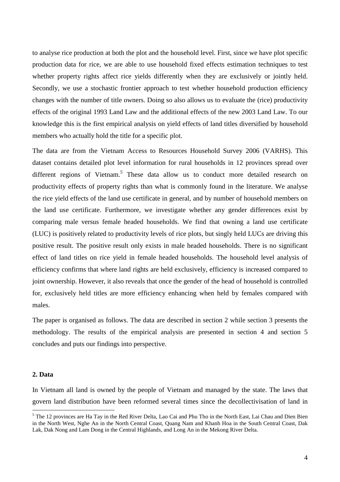to analyse rice production at both the plot and the household level. First, since we have plot specific production data for rice, we are able to use household fixed effects estimation techniques to test whether property rights affect rice yields differently when they are exclusively or jointly held. Secondly, we use a stochastic frontier approach to test whether household production efficiency changes with the number of title owners. Doing so also allows us to evaluate the (rice) productivity effects of the original 1993 Land Law and the additional effects of the new 2003 Land Law. To our knowledge this is the first empirical analysis on yield effects of land titles diversified by household members who actually hold the title for a specific plot.

The data are from the Vietnam Access to Resources Household Survey 2006 (VARHS). This dataset contains detailed plot level information for rural households in 12 provinces spread over different regions of Vietnam.<sup>5</sup> These data allow us to conduct more detailed research on productivity effects of property rights than what is commonly found in the literature. We analyse the rice yield effects of the land use certificate in general, and by number of household members on the land use certificate. Furthermore, we investigate whether any gender differences exist by comparing male versus female headed households. We find that owning a land use certificate (LUC) is positively related to productivity levels of rice plots, but singly held LUCs are driving this positive result. The positive result only exists in male headed households. There is no significant effect of land titles on rice yield in female headed households. The household level analysis of efficiency confirms that where land rights are held exclusively, efficiency is increased compared to joint ownership. However, it also reveals that once the gender of the head of household is controlled for, exclusively held titles are more efficiency enhancing when held by females compared with males.

The paper is organised as follows. The data are described in section 2 while section 3 presents the methodology. The results of the empirical analysis are presented in section 4 and section 5 concludes and puts our findings into perspective.

#### **2. Data**

 $\overline{a}$ 

In Vietnam all land is owned by the people of Vietnam and managed by the state. The laws that govern land distribution have been reformed several times since the decollectivisation of land in

<sup>&</sup>lt;sup>5</sup> The 12 provinces are Ha Tay in the Red River Delta, Lao Cai and Phu Tho in the North East, Lai Chau and Dien Bien in the North West, Nghe An in the North Central Coast, Quang Nam and Khanh Hoa in the South Central Coast, Dak Lak, Dak Nong and Lam Dong in the Central Highlands, and Long An in the Mekong River Delta.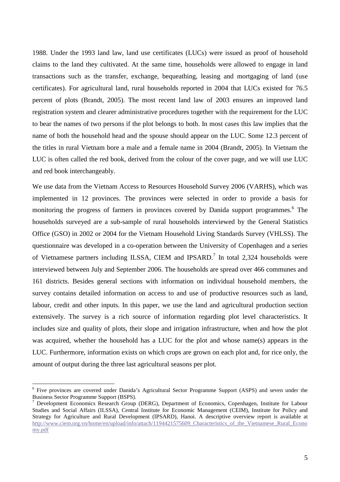1988. Under the 1993 land law, land use certificates (LUCs) were issued as proof of household claims to the land they cultivated. At the same time, households were allowed to engage in land transactions such as the transfer, exchange, bequeathing, leasing and mortgaging of land (use certificates). For agricultural land, rural households reported in 2004 that LUCs existed for 76.5 percent of plots (Brandt, 2005). The most recent land law of 2003 ensures an improved land registration system and clearer administrative procedures together with the requirement for the LUC to bear the names of two persons if the plot belongs to both. In most cases this law implies that the name of both the household head and the spouse should appear on the LUC. Some 12.3 percent of the titles in rural Vietnam bore a male and a female name in 2004 (Brandt, 2005). In Vietnam the LUC is often called the red book, derived from the colour of the cover page, and we will use LUC and red book interchangeably.

We use data from the Vietnam Access to Resources Household Survey 2006 (VARHS), which was implemented in 12 provinces. The provinces were selected in order to provide a basis for monitoring the progress of farmers in provinces covered by Danida support programmes.<sup>6</sup> The households surveyed are a sub-sample of rural households interviewed by the General Statistics Office (GSO) in 2002 or 2004 for the Vietnam Household Living Standards Survey (VHLSS). The questionnaire was developed in a co-operation between the University of Copenhagen and a series of Vietnamese partners including ILSSA, CIEM and IPSARD.<sup>7</sup> In total 2,324 households were interviewed between July and September 2006. The households are spread over 466 communes and 161 districts. Besides general sections with information on individual household members, the survey contains detailed information on access to and use of productive resources such as land, labour, credit and other inputs. In this paper, we use the land and agricultural production section extensively. The survey is a rich source of information regarding plot level characteristics. It includes size and quality of plots, their slope and irrigation infrastructure, when and how the plot was acquired, whether the household has a LUC for the plot and whose name(s) appears in the LUC. Furthermore, information exists on which crops are grown on each plot and, for rice only, the amount of output during the three last agricultural seasons per plot.

<sup>&</sup>lt;sup>6</sup> Five provinces are covered under Danida's Agricultural Sector Programme Support (ASPS) and seven under the Business Sector Programme Support (BSPS).

<sup>7</sup> Development Economics Research Group (DERG), Department of Economics, Copenhagen, Institute for Labour Studies and Social Affairs (ILSSA), Central Institute for Economic Management (CEIM), Institute for Policy and Strategy for Agriculture and Rural Development (IPSARD), Hanoi. A descriptive overview report is available at http://www.ciem.org.vn/home/en/upload/info/attach/1194421575609 Characteristics of the Vietnamese Rural Econo my.pdf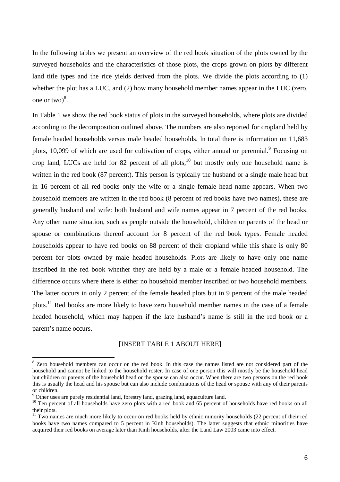In the following tables we present an overview of the red book situation of the plots owned by the surveyed households and the characteristics of those plots, the crops grown on plots by different land title types and the rice yields derived from the plots. We divide the plots according to (1) whether the plot has a LUC, and (2) how many household member names appear in the LUC (zero, one or two) $8$ .

In Table 1 we show the red book status of plots in the surveyed households, where plots are divided according to the decomposition outlined above. The numbers are also reported for cropland held by female headed households versus male headed households. In total there is information on 11,683 plots, 10,099 of which are used for cultivation of crops, either annual or perennial.<sup>9</sup> Focusing on crop land, LUCs are held for 82 percent of all plots, $10$  but mostly only one household name is written in the red book (87 percent). This person is typically the husband or a single male head but in 16 percent of all red books only the wife or a single female head name appears. When two household members are written in the red book (8 percent of red books have two names), these are generally husband and wife: both husband and wife names appear in 7 percent of the red books. Any other name situation, such as people outside the household, children or parents of the head or spouse or combinations thereof account for 8 percent of the red book types. Female headed households appear to have red books on 88 percent of their cropland while this share is only 80 percent for plots owned by male headed households. Plots are likely to have only one name inscribed in the red book whether they are held by a male or a female headed household. The difference occurs where there is either no household member inscribed or two household members. The latter occurs in only 2 percent of the female headed plots but in 9 percent of the male headed plots.<sup>11</sup> Red books are more likely to have zero household member names in the case of a female headed household, which may happen if the late husband's name is still in the red book or a parent's name occurs.

#### [INSERT TABLE 1 ABOUT HERE]

<sup>&</sup>lt;sup>8</sup> Zero household members can occur on the red book. In this case the names listed are not considered part of the household and cannot be linked to the household roster. In case of one person this will mostly be the household head but children or parents of the household head or the spouse can also occur. When there are two persons on the red book this is usually the head and his spouse but can also include combinations of the head or spouse with any of their parents or children.

<sup>&</sup>lt;sup>9</sup> Other uses are purely residential land, forestry land, grazing land, aquaculture land.

 $10$  Ten percent of all households have zero plots with a red book and 65 percent of households have red books on all their plots.

 $11$  Two names are much more likely to occur on red books held by ethnic minority households (22 percent of their red books have two names compared to 5 percent in Kinh households). The latter suggests that ethnic minorities have acquired their red books on average later than Kinh households, after the Land Law 2003 came into effect.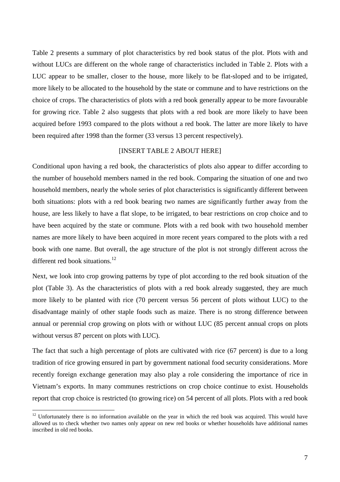Table 2 presents a summary of plot characteristics by red book status of the plot. Plots with and without LUCs are different on the whole range of characteristics included in Table 2. Plots with a LUC appear to be smaller, closer to the house, more likely to be flat-sloped and to be irrigated, more likely to be allocated to the household by the state or commune and to have restrictions on the choice of crops. The characteristics of plots with a red book generally appear to be more favourable for growing rice. Table 2 also suggests that plots with a red book are more likely to have been acquired before 1993 compared to the plots without a red book. The latter are more likely to have been required after 1998 than the former (33 versus 13 percent respectively).

#### [INSERT TABLE 2 ABOUT HERE]

Conditional upon having a red book, the characteristics of plots also appear to differ according to the number of household members named in the red book. Comparing the situation of one and two household members, nearly the whole series of plot characteristics is significantly different between both situations: plots with a red book bearing two names are significantly further away from the house, are less likely to have a flat slope, to be irrigated, to bear restrictions on crop choice and to have been acquired by the state or commune. Plots with a red book with two household member names are more likely to have been acquired in more recent years compared to the plots with a red book with one name. But overall, the age structure of the plot is not strongly different across the different red book situations.<sup>12</sup>

Next, we look into crop growing patterns by type of plot according to the red book situation of the plot (Table 3). As the characteristics of plots with a red book already suggested, they are much more likely to be planted with rice (70 percent versus 56 percent of plots without LUC) to the disadvantage mainly of other staple foods such as maize. There is no strong difference between annual or perennial crop growing on plots with or without LUC (85 percent annual crops on plots without versus 87 percent on plots with LUC).

The fact that such a high percentage of plots are cultivated with rice (67 percent) is due to a long tradition of rice growing ensured in part by government national food security considerations. More recently foreign exchange generation may also play a role considering the importance of rice in Vietnam's exports. In many communes restrictions on crop choice continue to exist. Households report that crop choice is restricted (to growing rice) on 54 percent of all plots. Plots with a red book

 $12$  Unfortunately there is no information available on the year in which the red book was acquired. This would have allowed us to check whether two names only appear on new red books or whether households have additional names inscribed in old red books.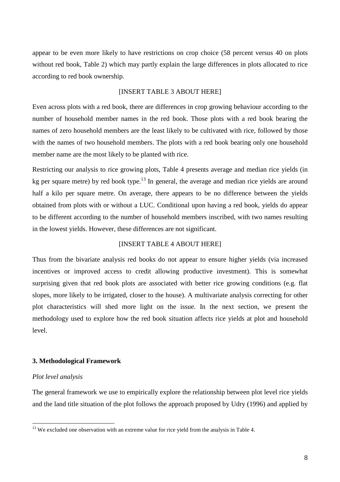appear to be even more likely to have restrictions on crop choice (58 percent versus 40 on plots without red book, Table 2) which may partly explain the large differences in plots allocated to rice according to red book ownership.

#### [INSERT TABLE 3 ABOUT HERE]

Even across plots with a red book, there are differences in crop growing behaviour according to the number of household member names in the red book. Those plots with a red book bearing the names of zero household members are the least likely to be cultivated with rice, followed by those with the names of two household members. The plots with a red book bearing only one household member name are the most likely to be planted with rice.

Restricting our analysis to rice growing plots, Table 4 presents average and median rice yields (in kg per square metre) by red book type.<sup>13</sup> In general, the average and median rice yields are around half a kilo per square metre. On average, there appears to be no difference between the yields obtained from plots with or without a LUC. Conditional upon having a red book, yields do appear to be different according to the number of household members inscribed, with two names resulting in the lowest yields. However, these differences are not significant.

#### [INSERT TABLE 4 ABOUT HERE]

Thus from the bivariate analysis red books do not appear to ensure higher yields (via increased incentives or improved access to credit allowing productive investment). This is somewhat surprising given that red book plots are associated with better rice growing conditions (e.g. flat slopes, more likely to be irrigated, closer to the house). A multivariate analysis correcting for other plot characteristics will shed more light on the issue. In the next section, we present the methodology used to explore how the red book situation affects rice yields at plot and household level.

#### **3. Methodological Framework**

#### *Plot level analysis*

 $\overline{a}$ 

The general framework we use to empirically explore the relationship between plot level rice yields and the land title situation of the plot follows the approach proposed by Udry (1996) and applied by

<sup>&</sup>lt;sup>13</sup> We excluded one observation with an extreme value for rice yield from the analysis in Table 4.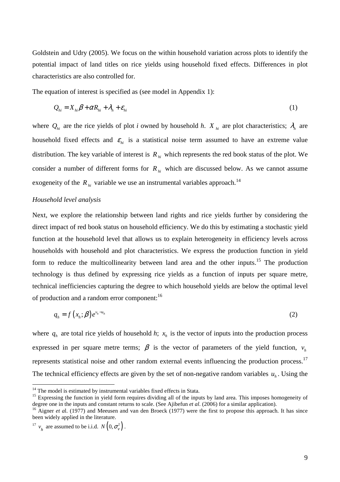Goldstein and Udry (2005). We focus on the within household variation across plots to identify the potential impact of land titles on rice yields using household fixed effects. Differences in plot characteristics are also controlled for.

The equation of interest is specified as (see model in Appendix 1):

$$
Q_{hi} = X_{hi}\beta + \alpha R_{hi} + \lambda_h + \varepsilon_{hi}
$$
 (1)

where  $Q_{hi}$  are the rice yields of plot *i* owned by household *h*. *X*<sub>*hi*</sub> are plot characteristics;  $\lambda_h$  are household fixed effects and  $\varepsilon_{hi}$  is a statistical noise term assumed to have an extreme value distribution. The key variable of interest is  $R_h$  which represents the red book status of the plot. We consider a number of different forms for  $R_h$  which are discussed below. As we cannot assume exogeneity of the  $R_{hi}$  variable we use an instrumental variables approach.<sup>14</sup>

#### *Household level analysis*

Next, we explore the relationship between land rights and rice yields further by considering the direct impact of red book status on household efficiency. We do this by estimating a stochastic yield function at the household level that allows us to explain heterogeneity in efficiency levels across households with household and plot characteristics. We express the production function in yield form to reduce the multicollinearity between land area and the other inputs.<sup>15</sup> The production technology is thus defined by expressing rice yields as a function of inputs per square metre, technical inefficiencies capturing the degree to which household yields are below the optimal level of production and a random error component:<sup>16</sup>

$$
q_h = f(x_h; \beta) e^{v_h - u_h} \tag{2}
$$

where  $q_h$  are total rice yields of household *h*;  $x_h$  is the vector of inputs into the production process expressed in per square metre terms;  $\beta$  is the vector of parameters of the yield function,  $v_h$ represents statistical noise and other random external events influencing the production process.<sup>17</sup> The technical efficiency effects are given by the set of non-negative random variables  $u_h$ . Using the

 $14$  The model is estimated by instrumental variables fixed effects in Stata.

<sup>&</sup>lt;sup>15</sup> Expressing the function in yield form requires dividing all of the inputs by land area. This imposes homogeneity of degree one in the inputs and constant returns to scale. (See Ajibefun *et al*. (2006) for a similar application).

<sup>&</sup>lt;sup>16</sup> Aigner *et al.* (1977) and Meeusen and van den Broeck (1977) were the first to propose this approach. It has since been widely applied in the literature.

<sup>&</sup>lt;sup>17</sup>  $v_h$  are assumed to be i.i.d.  $N\left(0, \sigma_v^2\right)$ .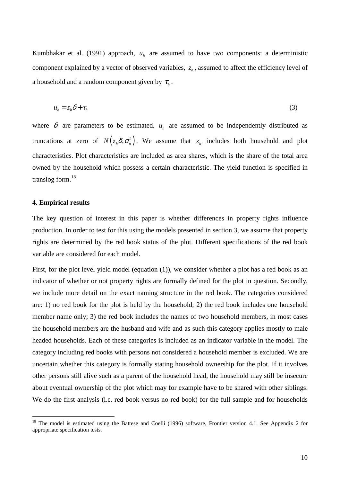Kumbhakar et al. (1991) approach,  $u_h$  are assumed to have two components: a deterministic component explained by a vector of observed variables,  $z_h$ , assumed to affect the efficiency level of a household and a random component given by  $\tau_h$ .

$$
u_h = z_h \delta + \tau_h \tag{3}
$$

where  $\delta$  are parameters to be estimated.  $u_h$  are assumed to be independently distributed as truncations at zero of  $N(z_h \delta, \sigma_u^2)$ . We assume that  $z_h$  includes both household and plot characteristics. Plot characteristics are included as area shares, which is the share of the total area owned by the household which possess a certain characteristic. The yield function is specified in translog form. $^{18}$ 

#### **4. Empirical results**

 $\overline{a}$ 

The key question of interest in this paper is whether differences in property rights influence production. In order to test for this using the models presented in section 3, we assume that property rights are determined by the red book status of the plot. Different specifications of the red book variable are considered for each model.

First, for the plot level yield model (equation (1)), we consider whether a plot has a red book as an indicator of whether or not property rights are formally defined for the plot in question. Secondly, we include more detail on the exact naming structure in the red book. The categories considered are: 1) no red book for the plot is held by the household; 2) the red book includes one household member name only; 3) the red book includes the names of two household members, in most cases the household members are the husband and wife and as such this category applies mostly to male headed households. Each of these categories is included as an indicator variable in the model. The category including red books with persons not considered a household member is excluded. We are uncertain whether this category is formally stating household ownership for the plot. If it involves other persons still alive such as a parent of the household head, the household may still be insecure about eventual ownership of the plot which may for example have to be shared with other siblings. We do the first analysis (i.e. red book versus no red book) for the full sample and for households

<sup>&</sup>lt;sup>18</sup> The model is estimated using the Battese and Coelli (1996) software, Frontier version 4.1. See Appendix 2 for appropriate specification tests.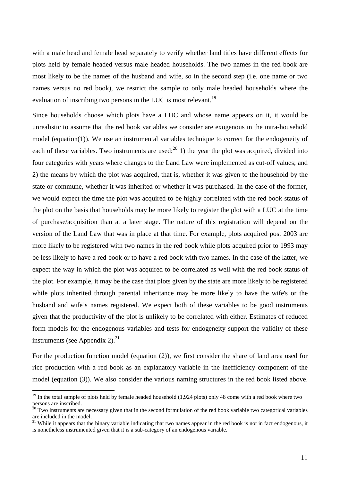with a male head and female head separately to verify whether land titles have different effects for plots held by female headed versus male headed households. The two names in the red book are most likely to be the names of the husband and wife, so in the second step (i.e. one name or two names versus no red book), we restrict the sample to only male headed households where the evaluation of inscribing two persons in the LUC is most relevant.<sup>19</sup>

Since households choose which plots have a LUC and whose name appears on it, it would be unrealistic to assume that the red book variables we consider are exogenous in the intra-household model (equation(1)). We use an instrumental variables technique to correct for the endogeneity of each of these variables. Two instruments are used:  $^{20}$  1) the year the plot was acquired, divided into four categories with years where changes to the Land Law were implemented as cut-off values; and 2) the means by which the plot was acquired, that is, whether it was given to the household by the state or commune, whether it was inherited or whether it was purchased. In the case of the former, we would expect the time the plot was acquired to be highly correlated with the red book status of the plot on the basis that households may be more likely to register the plot with a LUC at the time of purchase/acquisition than at a later stage. The nature of this registration will depend on the version of the Land Law that was in place at that time. For example, plots acquired post 2003 are more likely to be registered with two names in the red book while plots acquired prior to 1993 may be less likely to have a red book or to have a red book with two names. In the case of the latter, we expect the way in which the plot was acquired to be correlated as well with the red book status of the plot. For example, it may be the case that plots given by the state are more likely to be registered while plots inherited through parental inheritance may be more likely to have the wife's or the husband and wife's names registered. We expect both of these variables to be good instruments given that the productivity of the plot is unlikely to be correlated with either. Estimates of reduced form models for the endogenous variables and tests for endogeneity support the validity of these instruments (see Appendix 2). $^{21}$ 

For the production function model (equation (2)), we first consider the share of land area used for rice production with a red book as an explanatory variable in the inefficiency component of the model (equation (3)). We also consider the various naming structures in the red book listed above.

 $19$  In the total sample of plots held by female headed household (1,924 plots) only 48 come with a red book where two persons are inscribed.

 $20$  Two instruments are necessary given that in the second formulation of the red book variable two categorical variables are included in the model.

<sup>&</sup>lt;sup>21</sup> While it appears that the binary variable indicating that two names appear in the red book is not in fact endogenous, it is nonetheless instrumented given that it is a sub-category of an endogenous variable.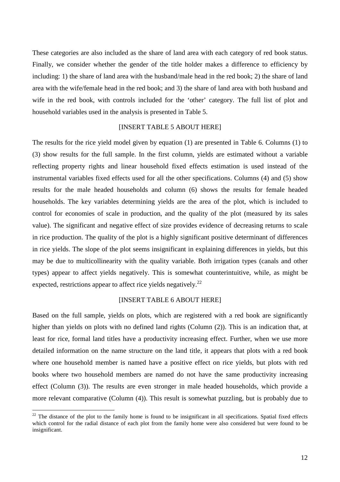These categories are also included as the share of land area with each category of red book status. Finally, we consider whether the gender of the title holder makes a difference to efficiency by including: 1) the share of land area with the husband/male head in the red book; 2) the share of land area with the wife/female head in the red book; and 3) the share of land area with both husband and wife in the red book, with controls included for the 'other' category. The full list of plot and household variables used in the analysis is presented in Table 5.

#### [INSERT TABLE 5 ABOUT HERE]

The results for the rice yield model given by equation (1) are presented in Table 6. Columns (1) to (3) show results for the full sample. In the first column, yields are estimated without a variable reflecting property rights and linear household fixed effects estimation is used instead of the instrumental variables fixed effects used for all the other specifications. Columns (4) and (5) show results for the male headed households and column (6) shows the results for female headed households. The key variables determining yields are the area of the plot, which is included to control for economies of scale in production, and the quality of the plot (measured by its sales value). The significant and negative effect of size provides evidence of decreasing returns to scale in rice production. The quality of the plot is a highly significant positive determinant of differences in rice yields. The slope of the plot seems insignificant in explaining differences in yields, but this may be due to multicollinearity with the quality variable. Both irrigation types (canals and other types) appear to affect yields negatively. This is somewhat counterintuitive, while, as might be expected, restrictions appear to affect rice yields negatively.<sup>22</sup>

#### [INSERT TABLE 6 ABOUT HERE]

Based on the full sample, yields on plots, which are registered with a red book are significantly higher than yields on plots with no defined land rights (Column (2)). This is an indication that, at least for rice, formal land titles have a productivity increasing effect. Further, when we use more detailed information on the name structure on the land title, it appears that plots with a red book where one household member is named have a positive effect on rice yields, but plots with red books where two household members are named do not have the same productivity increasing effect (Column (3)). The results are even stronger in male headed households, which provide a more relevant comparative (Column (4)). This result is somewhat puzzling, but is probably due to

 $22$  The distance of the plot to the family home is found to be insignificant in all specifications. Spatial fixed effects which control for the radial distance of each plot from the family home were also considered but were found to be insignificant.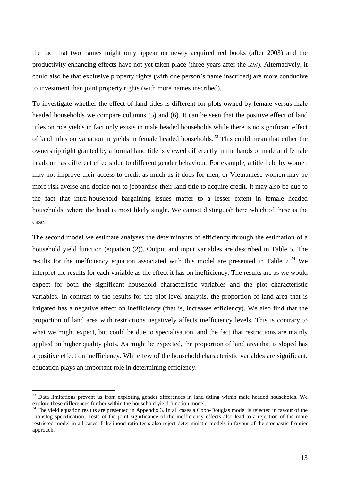the fact that two names might only appear on newly acquired red books (after 2003) and the productivity enhancing effects have not yet taken place (three years after the law). Alternatively, it could also be that exclusive property rights (with one person's name inscribed) are more conducive to investment than joint property rights (with more names inscribed).

To investigate whether the effect of land titles is different for plots owned by female versus male headed households we compare columns (5) and (6). It can be seen that the positive effect of land titles on rice yields in fact only exists in male headed households while there is no significant effect of land titles on variation in yields in female headed households.<sup>23</sup> This could mean that either the ownership right granted by a formal land title is viewed differently in the hands of male and female heads or has different effects due to different gender behaviour. For example, a title held by women may not improve their access to credit as much as it does for men, or Vietnamese women may be more risk averse and decide not to jeopardise their land title to acquire credit. It may also be due to the fact that intra-household bargaining issues matter to a lesser extent in female headed households, where the head is most likely single. We cannot distinguish here which of these is the case.

The second model we estimate analyses the determinants of efficiency through the estimation of a household yield function (equation (2)). Output and input variables are described in Table 5. The results for the inefficiency equation associated with this model are presented in Table  $7.^{24}$  We interpret the results for each variable as the effect it has on inefficiency. The results are as we would expect for both the significant household characteristic variables and the plot characteristic variables. In contrast to the results for the plot level analysis, the proportion of land area that is irrigated has a negative effect on inefficiency (that is, increases efficiency). We also find that the proportion of land area with restrictions negatively affects inefficiency levels. This is contrary to what we might expect, but could be due to specialisation, and the fact that restrictions are mainly applied on higher quality plots. As might be expected, the proportion of land area that is sloped has a positive effect on inefficiency. While few of the household characteristic variables are significant, education plays an important role in determining efficiency.

 $23$  Data limitations prevent us from exploring gender differences in land titling within male headed households. We explore these differences further within the household yield function model.

 $^{24}$  The yield equation results are presented in Appendix 3. In all cases a Cobb-Douglas model is rejected in favour of the Translog specification. Tests of the joint significance of the inefficiency effects also lead to a rejection of the more restricted model in all cases. Likelihood ratio tests also reject deterministic models in favour of the stochastic frontier approach.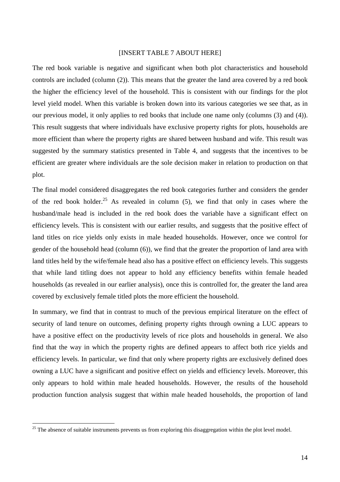#### [INSERT TABLE 7 ABOUT HERE]

The red book variable is negative and significant when both plot characteristics and household controls are included (column (2)). This means that the greater the land area covered by a red book the higher the efficiency level of the household. This is consistent with our findings for the plot level yield model. When this variable is broken down into its various categories we see that, as in our previous model, it only applies to red books that include one name only (columns (3) and (4)). This result suggests that where individuals have exclusive property rights for plots, households are more efficient than where the property rights are shared between husband and wife. This result was suggested by the summary statistics presented in Table 4, and suggests that the incentives to be efficient are greater where individuals are the sole decision maker in relation to production on that plot.

The final model considered disaggregates the red book categories further and considers the gender of the red book holder.<sup>25</sup> As revealed in column  $(5)$ , we find that only in cases where the husband/male head is included in the red book does the variable have a significant effect on efficiency levels. This is consistent with our earlier results, and suggests that the positive effect of land titles on rice yields only exists in male headed households. However, once we control for gender of the household head (column (6)), we find that the greater the proportion of land area with land titles held by the wife/female head also has a positive effect on efficiency levels. This suggests that while land titling does not appear to hold any efficiency benefits within female headed households (as revealed in our earlier analysis), once this is controlled for, the greater the land area covered by exclusively female titled plots the more efficient the household.

In summary, we find that in contrast to much of the previous empirical literature on the effect of security of land tenure on outcomes, defining property rights through owning a LUC appears to have a positive effect on the productivity levels of rice plots and households in general. We also find that the way in which the property rights are defined appears to affect both rice yields and efficiency levels. In particular, we find that only where property rights are exclusively defined does owning a LUC have a significant and positive effect on yields and efficiency levels. Moreover, this only appears to hold within male headed households. However, the results of the household production function analysis suggest that within male headed households, the proportion of land

 $25$  The absence of suitable instruments prevents us from exploring this disaggregation within the plot level model.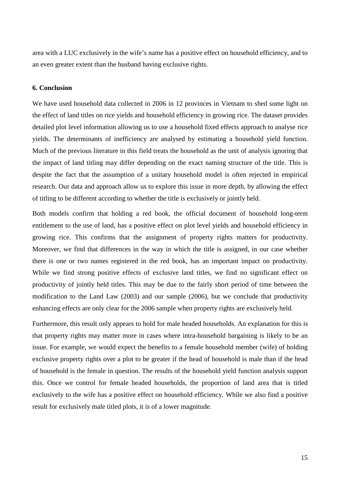area with a LUC exclusively in the wife's name has a positive effect on household efficiency, and to an even greater extent than the husband having exclusive rights.

#### **6. Conclusion**

We have used household data collected in 2006 in 12 provinces in Vietnam to shed some light on the effect of land titles on rice yields and household efficiency in growing rice. The dataset provides detailed plot level information allowing us to use a household fixed effects approach to analyse rice yields. The determinants of inefficiency are analysed by estimating a household yield function. Much of the previous literature in this field treats the household as the unit of analysis ignoring that the impact of land titling may differ depending on the exact naming structure of the title. This is despite the fact that the assumption of a unitary household model is often rejected in empirical research. Our data and approach allow us to explore this issue in more depth, by allowing the effect of titling to be different according to whether the title is exclusively or jointly held.

Both models confirm that holding a red book, the official document of household long-term entitlement to the use of land, has a positive effect on plot level yields and household efficiency in growing rice. This confirms that the assignment of property rights matters for productivity. Moreover, we find that differences in the way in which the title is assigned, in our case whether there is one or two names registered in the red book, has an important impact on productivity. While we find strong positive effects of exclusive land titles, we find no significant effect on productivity of jointly held titles. This may be due to the fairly short period of time between the modification to the Land Law (2003) and our sample (2006), but we conclude that productivity enhancing effects are only clear for the 2006 sample when property rights are exclusively held.

Furthermore, this result only appears to hold for male headed households. An explanation for this is that property rights may matter more in cases where intra-household bargaining is likely to be an issue. For example, we would expect the benefits to a female household member (wife) of holding exclusive property rights over a plot to be greater if the head of household is male than if the head of household is the female in question. The results of the household yield function analysis support this. Once we control for female headed households, the proportion of land area that is titled exclusively to the wife has a positive effect on household efficiency. While we also find a positive result for exclusively male titled plots, it is of a lower magnitude.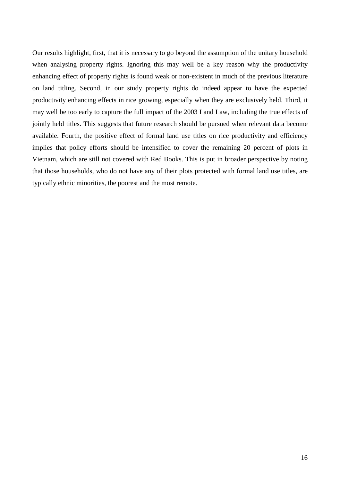Our results highlight, first, that it is necessary to go beyond the assumption of the unitary household when analysing property rights. Ignoring this may well be a key reason why the productivity enhancing effect of property rights is found weak or non-existent in much of the previous literature on land titling. Second, in our study property rights do indeed appear to have the expected productivity enhancing effects in rice growing, especially when they are exclusively held. Third, it may well be too early to capture the full impact of the 2003 Land Law, including the true effects of jointly held titles. This suggests that future research should be pursued when relevant data become available. Fourth, the positive effect of formal land use titles on rice productivity and efficiency implies that policy efforts should be intensified to cover the remaining 20 percent of plots in Vietnam, which are still not covered with Red Books. This is put in broader perspective by noting that those households, who do not have any of their plots protected with formal land use titles, are typically ethnic minorities, the poorest and the most remote.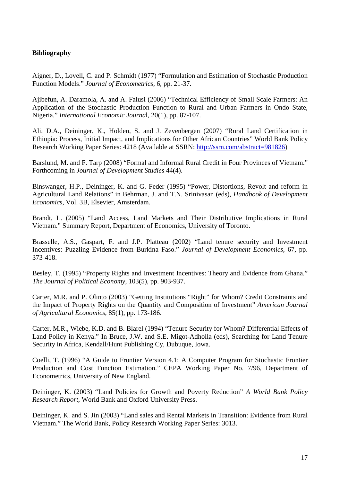## **Bibliography**

Aigner, D., Lovell, C. and P. Schmidt (1977) "Formulation and Estimation of Stochastic Production Function Models." *Journal of Econometrics*, 6, pp. 21-37.

Ajibefun, A. Daramola, A. and A. Falusi (2006) "Technical Efficiency of Small Scale Farmers: An Application of the Stochastic Production Function to Rural and Urban Farmers in Ondo State, Nigeria." *International Economic Journa*l, 20(1), pp. 87-107.

Ali, D.A., Deininger, K., Holden, S. and J. Zevenbergen (2007) "Rural Land Certification in Ethiopia: Process, Initial Impact, and Implications for Other African Countries" World Bank Policy Research Working Paper Series: 4218 (Available at SSRN: http://ssrn.com/abstract=981826)

Barslund, M. and F. Tarp (2008) "Formal and Informal Rural Credit in Four Provinces of Vietnam." Forthcoming in *Journal of Development Studies* 44(4).

Binswanger, H.P., Deininger, K. and G. Feder (1995) "Power, Distortions, Revolt and reform in Agricultural Land Relations" in Behrman, J. and T.N. Srinivasan (eds), *Handbook of Development Economics*, Vol. 3B, Elsevier, Amsterdam.

Brandt, L. (2005) "Land Access, Land Markets and Their Distributive Implications in Rural Vietnam." Summary Report, Department of Economics, University of Toronto.

Brasselle, A.S., Gaspart, F. and J.P. Platteau (2002) "Land tenure security and Investment Incentives: Puzzling Evidence from Burkina Faso." *Journal of Development Economics*, 67, pp. 373-418.

Besley, T. (1995) "Property Rights and Investment Incentives: Theory and Evidence from Ghana." *The Journal of Political Economy*, 103(5), pp. 903-937.

Carter, M.R. and P. Olinto (2003) "Getting Institutions "Right" for Whom? Credit Constraints and the Impact of Property Rights on the Quantity and Composition of Investment" *American Journal of Agricultural Economics*, 85(1), pp. 173-186.

Carter, M.R., Wiebe, K.D. and B. Blarel (1994) "Tenure Security for Whom? Differential Effects of Land Policy in Kenya." In Bruce, J.W. and S.E. Migot-Adholla (eds), Searching for Land Tenure Security in Africa, Kendall/Hunt Publishing Cy, Dubuque, Iowa.

Coelli, T. (1996) "A Guide to Frontier Version 4.1: A Computer Program for Stochastic Frontier Production and Cost Function Estimation." CEPA Working Paper No. 7/96, Department of Econometrics, University of New England.

Deininger, K. (2003) "Land Policies for Growth and Poverty Reduction" *A World Bank Policy Research Report*, World Bank and Oxford University Press.

Deininger, K. and S. Jin (2003) "Land sales and Rental Markets in Transition: Evidence from Rural Vietnam." The World Bank, Policy Research Working Paper Series: 3013.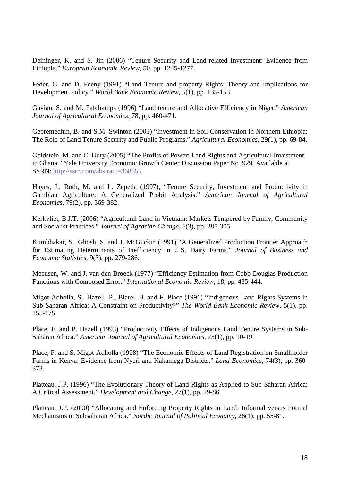Deininger, K. and S. Jin (2006) "Tenure Security and Land-related Investment: Evidence from Ethiopia." *European Economic Review*, 50, pp. 1245-1277.

Feder, G. and D. Feeny (1991) "Land Tenure and property Rights: Theory and Implications for Development Policy." *World Bank Economic Review*, 5(1), pp. 135-153.

Gavian, S. and M. Fafchamps (1996) "Land tenure and Allocative Efficiency in Niger." *American Journal of Agricultural Economics*, 78, pp. 460-471.

Gebremedhin, B. and S.M. Swinton (2003) "Investment in Soil Conservation in Northern Ethiopia: The Role of Land Tenure Security and Public Programs." *Agricultural Economics*, 29(1), pp. 69-84.

Goldstein, M. and C. Udry (2005) "The Profits of Power: Land Rights and Agricultural Investment in Ghana." Yale University Economic Growth Center Discussion Paper No. 929. Available at SSRN: http://ssrn.com/abstract=868655

Hayes, J., Roth, M. and L. Zepeda (1997), "Tenure Security, Investment and Productivity in Gambian Agriculture: A Generalized Probit Analysis." *American Journal of Agricultural Economics*, 79(2), pp. 369-382.

Kerkvliet, B.J.T. (2006) "Agricultural Land in Vietnam: Markets Tempered by Family, Community and Socialist Practices." *Journal of Agrarian Change*, 6(3), pp. 285-305.

Kumbhakar, S., Ghosh, S. and J. McGuckin (1991) "A Generalized Production Frontier Approach for Estimating Determinants of Inefficiency in U.S. Dairy Farms." *Journal of Business and Economic Statistics*, 9(3), pp. 279-286.

Meeusen, W. and J. van den Broeck (1977) "Efficiency Estimation from Cobb-Douglas Production Functions with Composed Error." *International Economic Review*, 18, pp. 435-444.

Migot-Adholla, S., Hazell, P., Blarel, B. and F. Place (1991) "Indigenous Land Rights Systems in Sub-Saharan Africa: A Constraint on Productivity?" *The World Bank Economic Review*, 5(1), pp. 155-175.

Place, F. and P. Hazell (1993) "Productivity Effects of Indigenous Land Tenure Systems in Sub-Saharan Africa." *American Journal of Agricultural Economics*, 75(1), pp. 10-19.

Place, F. and S. Migot-Adholla (1998) "The Economic Effects of Land Registration on Smallholder Farms in Kenya: Evidence from Nyeri and Kakamega Districts." *Land Economics*, 74(3), pp. 360- 373.

Platteau, J.P. (1996) "The Evolutionary Theory of Land Rights as Applied to Sub-Saharan Africa: A Critical Assessment." *Development and Change*, 27(1), pp. 29-86.

Platteau, J.P. (2000) "Allocating and Enforcing Property Rights in Land: Informal versus Formal Mechanisms in Subsaharan Africa." *Nordic Journal of Political Economy*, 26(1), pp. 55-81.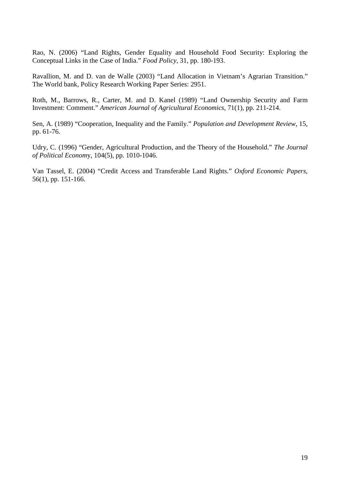Rao, N. (2006) "Land Rights, Gender Equality and Household Food Security: Exploring the Conceptual Links in the Case of India." *Food Policy*, 31, pp. 180-193.

Ravallion, M. and D. van de Walle (2003) "Land Allocation in Vietnam's Agrarian Transition." The World bank, Policy Research Working Paper Series: 2951.

Roth, M., Barrows, R., Carter, M. and D. Kanel (1989) "Land Ownership Security and Farm Investment: Comment." *American Journal of Agricultural Economics*, 71(1), pp. 211-214.

Sen, A. (1989) "Cooperation, Inequality and the Family." *Population and Development Review*, 15, pp. 61-76.

Udry, C. (1996) "Gender, Agricultural Production, and the Theory of the Household." *The Journal of Political Econom*y, 104(5), pp. 1010-1046.

Van Tassel, E. (2004) "Credit Access and Transferable Land Rights." *Oxford Economic Papers*, 56(1), pp. 151-166.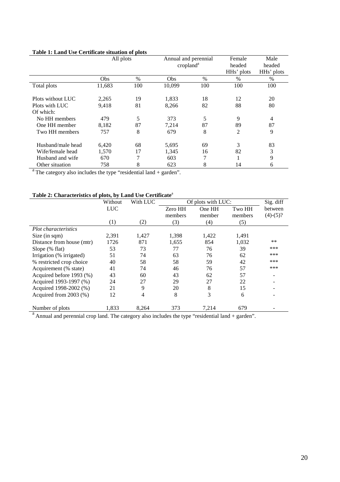| Table 1: Land Use Certificate situation of plots |  |  |
|--------------------------------------------------|--|--|
|--------------------------------------------------|--|--|

|                   | All plots |      |                       | Annual and perennial |            | Male                    |
|-------------------|-----------|------|-----------------------|----------------------|------------|-------------------------|
|                   |           |      | cropland <sup>a</sup> |                      | headed     | headed                  |
|                   |           |      |                       |                      | HHs' plots | HH <sub>s</sub> ' plots |
|                   | Obs       | $\%$ | Obs                   | $\%$                 | $\%$       | $\%$                    |
| Total plots       | 11,683    | 100  | 10.099                | 100                  | 100        | 100                     |
|                   |           |      |                       |                      |            |                         |
| Plots without LUC | 2,265     | 19   | 1,833                 | 18                   | 12         | 20                      |
| Plots with LUC    | 9,418     | 81   | 8,266                 | 82                   | 88         | 80                      |
| Of which:         |           |      |                       |                      |            |                         |
| No HH members     | 479       | 5    | 373                   | 5                    | 9          | 4                       |
| One HH member     | 8,182     | 87   | 7.214                 | 87                   | 89         | 87                      |
| Two HH members    | 757       | 8    | 679                   | 8                    | 2          | 9                       |
| Husband/male head | 6,420     | 68   | 5,695                 | 69                   | 3          | 83                      |
| Wife/female head  | 1,570     | 17   | 1,345                 | 16                   | 82         | 3                       |
| Husband and wife  | 670       | 7    | 603                   | 7                    | 1          | 9                       |
| Other situation   | 758       | 8    | 623                   | 8                    | 14         | 6                       |

 $a<sup>a</sup>$ The category also includes the type "residential land + garden".

## **Table 2: Characteristics of plots, by Land Use Certificate**<sup>a</sup>

|                                 | Without    | With LUC |         | Of plots with LUC: |         | Sig. diff  |
|---------------------------------|------------|----------|---------|--------------------|---------|------------|
|                                 | <b>LUC</b> |          | Zero HH | One HH             | Two HH  | between    |
|                                 |            |          | members | member             | members | $(4)-(5)?$ |
|                                 | (1)        | (2)      | (3)     | (4)                | (5)     |            |
| <i>Plot characteristics</i>     |            |          |         |                    |         |            |
| Size (in sqm)                   | 2,391      | 1,427    | 1,398   | 1,422              | 1,491   |            |
| Distance from house (mtr)       | 1726       | 871      | 1,655   | 854                | 1,032   | $**$       |
| Slope $(\%$ flat)               | 53         | 73       | 77      | 76                 | 39      | ***        |
| Irrigation (% irrigated)        | 51         | 74       | 63      | 76                 | 62      | ***        |
| % restricted crop choice        | 40         | 58       | 58      | 59                 | 42      | ***        |
| Acquirement (% state)           | 41         | 74       | 46      | 76                 | 57      | ***        |
| Acquired before 1993 (%)        | 43         | 60       | 43      | 62                 | 57      |            |
| Acquired 1993-1997 (%)          | 24         | 27       | 29      | 27                 | 22      |            |
| Acquired 1998-2002 (%)          | 21         | 9        | 20      | 8                  | 15      |            |
| Acquired from 2003 (%)          | 12         | 4        | 8       | 3                  | 6       |            |
| Number of plots<br>$\mathbf{a}$ | 1,833      | 8,264    | 373     | 7,214              | 679     |            |

 $a<sup>a</sup>$  Annual and perennial crop land. The category also includes the type "residential land + garden".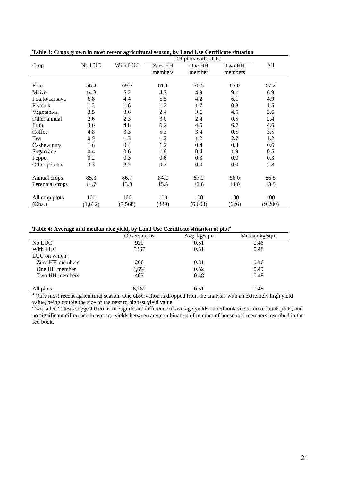|                 |         |          |         | Of plots with LUC: |         |         |
|-----------------|---------|----------|---------|--------------------|---------|---------|
| Crop            | No LUC  | With LUC | Zero HH | One HH             | Two HH  | All     |
|                 |         |          | members | member             | members |         |
|                 |         |          |         |                    |         |         |
| Rice            | 56.4    | 69.6     | 61.1    | 70.5               | 65.0    | 67.2    |
| Maize           | 14.8    | 5.2      | 4.7     | 4.9                | 9.1     | 6.9     |
| Potato/cassava  | 6.8     | 4.4      | 6.5     | 4.2                | 6.1     | 4.9     |
| Peanuts         | 1.2     | 1.6      | 1.2     | 1.7                | 0.8     | 1.5     |
| Vegetables      | 3.5     | 3.6      | 2.4     | 3.6                | 4.5     | 3.6     |
| Other annual    | 2.6     | 2.3      | 3.0     | 2.4                | 0.5     | 2.4     |
| Fruit           | 3.6     | 4.8      | 6.2     | 4.5                | 6.7     | 4.6     |
| Coffee          | 4.8     | 3.3      | 5.3     | 3.4                | 0.5     | 3.5     |
| Tea             | 0.9     | 1.3      | 1.2     | 1.2                | 2.7     | 1.2     |
| Cashew nuts     | 1.6     | 0.4      | 1.2     | 0.4                | 0.3     | 0.6     |
| Sugarcane       | 0.4     | 0.6      | 1.8     | 0.4                | 1.9     | 0.5     |
| Pepper          | 0.2     | 0.3      | 0.6     | 0.3                | 0.0     | 0.3     |
| Other perenn.   | 3.3     | 2.7      | 0.3     | 0.0                | 0.0     | 2.8     |
|                 |         |          |         |                    |         |         |
| Annual crops    | 85.3    | 86.7     | 84.2    | 87.2               | 86.0    | 86.5    |
| Perennial crops | 14.7    | 13.3     | 15.8    | 12.8               | 14.0    | 13.5    |
|                 |         |          |         |                    |         |         |
| All crop plots  | 100     | 100      | 100     | 100                | 100     | 100     |
| (Obs.)          | (1,632) | (7, 568) | (339)   | (6,603)            | (626)   | (9,200) |

**Table 3: Crops grown in most recent agricultural season, by Land Use Certificate situation** 

#### **Table 4: Average and median rice yield, by Land Use Certificate situation of plot<sup>a</sup>**

| -               |                     |               |               |
|-----------------|---------------------|---------------|---------------|
|                 | <b>Observations</b> | Avg. $kg/sqm$ | Median kg/sqm |
| No LUC          | 920                 | 0.51          | 0.46          |
| With LUC        | 5267                | 0.51          | 0.48          |
| LUC on which:   |                     |               |               |
| Zero HH members | 206                 | 0.51          | 0.46          |
| One HH member   | 4,654               | 0.52          | 0.49          |
| Two HH members  | 407                 | 0.48          | 0.48          |
|                 |                     |               |               |
| All plots       | 6,187               | 0.51          | 0.48          |

<sup>a</sup> Only most recent agricultural season. One observation is dropped from the analysis with an extremely high yield value, being double the size of the next to highest yield value.

Two tailed T-tests suggest there is no significant difference of average yields on redbook versus no redbook plots; and no significant difference in average yields between any combination of number of household members inscribed in the red book.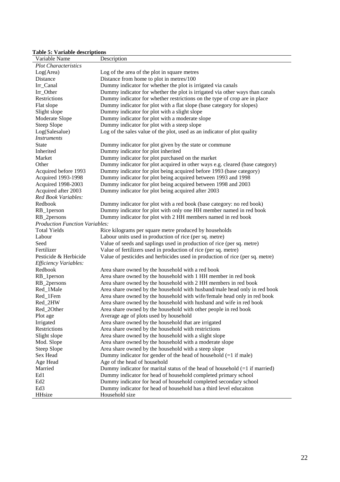## **Table 5: Variable descriptions**

| Variable Name                         | Description                                                                   |
|---------------------------------------|-------------------------------------------------------------------------------|
| <b>Plot Characteristics</b>           |                                                                               |
| Log(Area)                             | Log of the area of the plot in square metres                                  |
| Distance                              | Distance from home to plot in metres/100                                      |
| Irr_Canal                             | Dummy indicator for whether the plot is irrigated via canals                  |
| Irr_Other                             | Dummy indicator for whether the plot is irrigated via other ways than canals  |
| Restrictions                          | Dummy indicator for whether restrictions on the type of crop are in place     |
| Flat slope                            | Dummy indicator for plot with a flat slope (base category for slopes)         |
| Slight slope                          | Dummy indicator for plot with a slight slope                                  |
| Moderate Slope                        | Dummy indicator for plot with a moderate slope                                |
| <b>Steep Slope</b>                    | Dummy indicator for plot with a steep slope                                   |
| Log(Salesalue)                        | Log of the sales value of the plot, used as an indicator of plot quality      |
| <i>Instruments</i>                    |                                                                               |
| <b>State</b>                          | Dummy indicator for plot given by the state or commune                        |
| Inherited                             | Dummy indicator for plot inherited                                            |
| Market                                | Dummy indicator for plot purchased on the market                              |
| Other                                 | Dummy indicator for plot acquired in other ways e.g. cleared (base category)  |
| Acquired before 1993                  | Dummy indicator for plot being acquired before 1993 (base category)           |
| Acquired 1993-1998                    | Dummy indicator for plot being acquired between 1993 and 1998                 |
| <b>Acquired 1998-2003</b>             | Dummy indicator for plot being acquired between 1998 and 2003                 |
| Acquired after 2003                   | Dummy indicator for plot being acquired after 2003                            |
| Red Book Variables:                   |                                                                               |
| Redbook                               | Dummy indicator for plot with a red book (base category: no red book)         |
| RB_1person                            | Dummy indicator for plot with only one HH member named in red book            |
| RB_2persons                           | Dummy indicator for plot with 2 HH members named in red book                  |
| <b>Production Function Variables:</b> |                                                                               |
| <b>Total Yields</b>                   | Rice kilograms per square metre produced by households                        |
| Labour                                | Labour units used in production of rice (per sq. metre)                       |
| Seed                                  | Value of seeds and saplings used in production of rice (per sq. metre)        |
| Fertilizer                            | Value of fertilizers used in production of rice (per sq. metre)               |
| Pesticide & Herbicide                 | Value of pesticides and herbicides used in production of rice (per sq. metre) |
| Efficiency Variables:                 |                                                                               |
| Redbook                               | Area share owned by the household with a red book                             |
| RB_1person                            | Area share owned by the household with 1 HH member in red book                |
| RB_2persons                           | Area share owned by the household with 2 HH members in red book               |
| Red_1Male                             | Area share owned by the household with husband/male head only in red book     |
| Red_1Fem                              | Area share owned by the household with wife/female head only in red book      |
| Red_2HW                               | Area share owned by the household with husband and wife in red book           |
| Red_2Other                            | Area share owned by the household with other people in red book               |
| Plot age                              | Average age of plots used by household                                        |
| Irrigated                             | Area share owned by the household that are irrigated                          |
| Restrictions                          | Area share owned by the household with restrictions                           |
| Slight slope                          | Area share owned by the household with a slight slope                         |
| Mod. Slope                            | Area share owned by the household with a moderate slope                       |
| Steep Slope                           | Area share owned by the household with a steep slope                          |
| Sex Head                              | Dummy indicator for gender of the head of household $(=1$ if male)            |
| Age Head                              | Age of the head of household                                                  |
| Married                               | Dummy indicator for marital status of the head of household $(=1$ if married) |
| Ed1                                   | Dummy indicator for head of household completed primary school                |
| Ed <sub>2</sub>                       | Dummy indicator for head of household completed secondary school              |
| Ed <sub>3</sub>                       | Dummy indicator for head of household has a third level educaiton             |
| HHsize                                | Household size                                                                |
|                                       |                                                                               |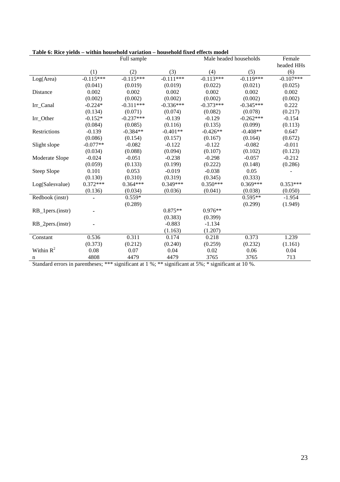| radic 0. inice yichus – whillil household variation – household fixed cricets model | Full sample |             |             | Male headed households | Female      |             |
|-------------------------------------------------------------------------------------|-------------|-------------|-------------|------------------------|-------------|-------------|
|                                                                                     |             |             |             |                        |             | headed HHs  |
|                                                                                     | (1)         | (2)         | (3)         | (4)                    | (5)         | (6)         |
| Log(Area)                                                                           | $-0.115***$ | $-0.115***$ | $-0.111***$ | $-0.113***$            | $-0.119***$ | $-0.107***$ |
|                                                                                     | (0.041)     | (0.019)     | (0.019)     | (0.022)                | (0.021)     | (0.025)     |
| Distance                                                                            | 0.002       | 0.002       | 0.002       | 0.002                  | 0.002       | 0.002       |
|                                                                                     | (0.002)     | (0.002)     | (0.002)     | (0.002)                | (0.002)     | (0.002)     |
| Irr_Canal                                                                           | $-0.224*$   | $-0.311***$ | $-0.336***$ | $-0.373***$            | $-0.345***$ | 0.222       |
|                                                                                     | (0.134)     | (0.071)     | (0.074)     | (0.082)                | (0.078)     | (0.217)     |
| Irr_Other                                                                           | $-0.152*$   | $-0.237***$ | $-0.139$    | $-0.129$               | $-0.262***$ | $-0.154$    |
|                                                                                     | (0.084)     | (0.085)     | (0.116)     | (0.135)                | (0.099)     | (0.113)     |
| Restrictions                                                                        | $-0.139$    | $-0.384**$  | $-0.401**$  | $-0.426**$             | $-0.408**$  | 0.647       |
|                                                                                     | (0.086)     | (0.154)     | (0.157)     | (0.167)                | (0.164)     | (0.672)     |
| Slight slope                                                                        | $-0.077**$  | $-0.082$    | $-0.122$    | $-0.122$               | $-0.082$    | $-0.011$    |
|                                                                                     | (0.034)     | (0.088)     | (0.094)     | (0.107)                | (0.102)     | (0.123)     |
| Moderate Slope                                                                      | $-0.024$    | $-0.051$    | $-0.238$    | $-0.298$               | $-0.057$    | $-0.212$    |
|                                                                                     | (0.059)     | (0.133)     | (0.199)     | (0.222)                | (0.148)     | (0.286)     |
| Steep Slope                                                                         | 0.101       | 0.053       | $-0.019$    | $-0.038$               | 0.05        |             |
|                                                                                     | (0.130)     | (0.310)     | (0.319)     | (0.345)                | (0.333)     |             |
| Log(Salesvalue)                                                                     | $0.372***$  | $0.364***$  | $0.349***$  | $0.350***$             | $0.369***$  | $0.353***$  |
|                                                                                     | (0.136)     | (0.034)     | (0.036)     | (0.041)                | (0.038)     | (0.050)     |
| Redbook (instr)                                                                     |             | $0.559*$    |             |                        | $0.595**$   | $-1.954$    |
|                                                                                     |             | (0.289)     |             |                        | (0.299)     | (1.949)     |
| RB_1pers.(instr)                                                                    |             |             | $0.875**$   | $0.976**$              |             |             |
|                                                                                     |             |             | (0.383)     | (0.399)                |             |             |
| RB_2pers.(instr)                                                                    |             |             | $-0.883$    | $-1.134$               |             |             |
|                                                                                     |             |             | (1.163)     | (1.207)                |             |             |
| Constant                                                                            | 0.536       | 0.311       | 0.174       | 0.218                  | 0.373       | 1.239       |
|                                                                                     | (0.373)     | (0.212)     | (0.240)     | (0.259)                | (0.232)     | (1.161)     |
| Within $R^2$                                                                        | 0.08        | 0.07        | 0.04        | 0.02                   | 0.06        | 0.04        |
| n                                                                                   | 4808        | 4479        | 4479        | 3765                   | 3765        | 713         |

| Table 6: Rice yields – within household variation – household fixed effects model |
|-----------------------------------------------------------------------------------|
|-----------------------------------------------------------------------------------|

Standard errors in parentheses; \*\*\* significant at 1 %; \*\* significant at 5%; \* significant at 10 %.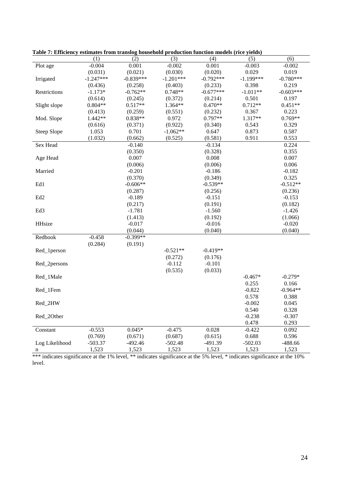|                    | (1)         |             |             |             |             |             |
|--------------------|-------------|-------------|-------------|-------------|-------------|-------------|
|                    |             | (2)         | (3)         | (4)         | (5)         | (6)         |
| Plot age           | $-0.004$    | 0.001       | $-0.002$    | 0.001       | $-0.003$    | $-0.002$    |
|                    | (0.031)     | (0.021)     | (0.030)     | (0.020)     | 0.029       | 0.019       |
| Irrigated          | $-1.247***$ | $-0.839***$ | $-1.201***$ | $-0.792***$ | $-1.199***$ | $-0.780***$ |
|                    | (0.436)     | (0.258)     | (0.403)     | (0.233)     | 0.398       | 0.219       |
| Restrictions       | $-1.173*$   | $-0.762**$  | $0.748**$   | $-0.677***$ | $-1.011**$  | $-0.603***$ |
|                    | (0.614)     | (0.245)     | (0.372)     | (0.214)     | 0.501       | 0.197       |
| Slight slope       | $0.804**$   | $0.517**$   | 1.364**     | $0.470**$   | $0.712**$   | $0.451**$   |
|                    | (0.413)     | (0.259)     | (0.551)     | (0.232)     | 0.367       | 0.223       |
| Mod. Slope         | 1.442**     | $0.838**$   | 0.972       | $0.797**$   | 1.317**     | $0.769**$   |
|                    | (0.616)     | (0.371)     | (0.922)     | (0.340)     | 0.543       | 0.329       |
| <b>Steep Slope</b> | 1.053       | 0.701       | $-1.062**$  | 0.647       | 0.873       | 0.587       |
|                    | (1.032)     | (0.662)     | (0.525)     | (0.581)     | 0.911       | 0.553       |
| <b>Sex Head</b>    |             | $-0.140$    |             | $-0.134$    |             | 0.224       |
|                    |             | (0.350)     |             | (0.328)     |             | 0.355       |
| Age Head           |             | 0.007       |             | 0.008       |             | 0.007       |
|                    |             | (0.006)     |             | (0.006)     |             | 0.006       |
| Married            |             | $-0.201$    |             | $-0.186$    |             | $-0.182$    |
|                    |             | (0.370)     |             | (0.349)     |             | 0.325       |
| Ed1                |             | $-0.606**$  |             | $-0.539**$  |             | $-0.512**$  |
|                    |             | (0.287)     |             | (0.256)     |             | (0.236)     |
| Ed <sub>2</sub>    |             | $-0.189$    |             | $-0.151$    |             | $-0.153$    |
|                    |             | (0.217)     |             | (0.191)     |             | (0.182)     |
| Ed <sub>3</sub>    |             | $-1.781$    |             | $-1.560$    |             | $-1.426$    |
|                    |             | (1.413)     |             | (0.192)     |             | (1.066)     |
| <b>HHsize</b>      |             | $-0.017$    |             | $-0.016$    |             | $-0.020$    |
|                    |             | (0.044)     |             | (0.040)     |             | (0.040)     |
| Redbook            | $-0.458$    | $-0.399**$  |             |             |             |             |
|                    | (0.284)     | (0.191)     |             |             |             |             |
| Red_1person        |             |             | $-0.521**$  | $-0.419**$  |             |             |
|                    |             |             | (0.272)     | (0.176)     |             |             |
| Red_2persons       |             |             | $-0.112$    | $-0.101$    |             |             |
|                    |             |             |             |             |             |             |
|                    |             |             | (0.535)     | (0.033)     | $-0.467*$   | $-0.279*$   |
| Red_1Male          |             |             |             |             |             |             |
|                    |             |             |             |             | 0.255       | 0.166       |
| Red_1Fem           |             |             |             |             | $-0.822$    | $-0.964**$  |
|                    |             |             |             |             | 0.578       | 0.388       |
| Red_2HW            |             |             |             |             | $-0.002$    | 0.045       |
|                    |             |             |             |             | 0.540       | 0.328       |
| Red_2Other         |             |             |             |             | $-0.238$    | $-0.307$    |
|                    |             |             |             |             | 0.478       | 0.293       |
| Constant           | $-0.553$    | $0.045*$    | $-0.475$    | 0.028       | $-0.422$    | 0.092       |
|                    | (0.769)     | (0.671)     | (0.687)     | (0.615)     | 0.688       | 0.596       |
| Log Likelihood     | $-503.37$   | $-492.46$   | $-502.48$   | $-491.39$   | $-502.03$   | $-488.66$   |
| n                  | 1,523       | 1,523       | 1,523       | 1,523       | 1,523       | 1,523       |

**Table 7: Efficiency estimates from translog household production function models (rice yields)** 

\*\*\* indicates significance at the 1% level, \*\* indicates significance at the 5% level, \* indicates significance at the 10% level.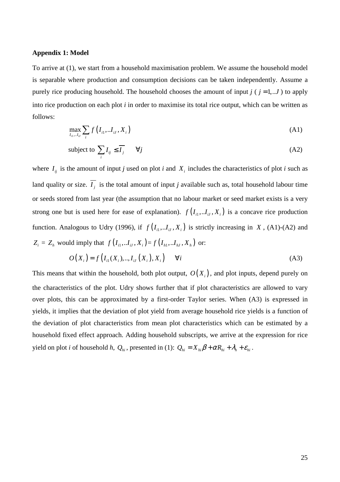#### **Appendix 1: Model**

To arrive at (1), we start from a household maximisation problem. We assume the household model is separable where production and consumption decisions can be taken independently. Assume a purely rice producing household. The household chooses the amount of input  $j$  ( $j = 1,..J$ ) to apply into rice production on each plot *i* in order to maximise its total rice output, which can be written as follows:

$$
\max_{I_{i1},\ldots I_{iJ}} \sum_{i} f\left(I_{i1},\ldots I_{iJ}, X_{i}\right) \tag{A1}
$$

subject to 
$$
\sum_{i} I_{ij} \leq \overline{I_j} \qquad \forall j
$$
 (A2)

where  $I_{ij}$  is the amount of input *j* used on plot *i* and  $X_i$  includes the characteristics of plot *i* such as land quality or size.  $I_j$  is the total amount of input *j* available such as, total household labour time or seeds stored from last year (the assumption that no labour market or seed market exists is a very strong one but is used here for ease of explanation).  $f(I_{i1}, I_{iJ}, X_{i})$  is a concave rice production function. Analogous to Udry (1996), if  $f(I_{i_1}, I_{i_1}, X_{i})$  is strictly increasing in *X*, (A1)-(A2) and  $Z_i = Z_h$  would imply that  $f(I_{i1}, I_{iJ}, X_i) = f(I_{i1}, I_{iJ}, X_h)$  or:

$$
O(X_i) = f(I_{i1}(X_i),...,I_{iJ}(X_i),X_i) \qquad \forall i
$$
\n(A3)

This means that within the household, both plot output,  $O(X<sub>i</sub>)$ , and plot inputs, depend purely on the characteristics of the plot. Udry shows further that if plot characteristics are allowed to vary over plots, this can be approximated by a first-order Taylor series. When (A3) is expressed in yields, it implies that the deviation of plot yield from average household rice yields is a function of the deviation of plot characteristics from mean plot characteristics which can be estimated by a household fixed effect approach. Adding household subscripts, we arrive at the expression for rice yield on plot *i* of household *h*,  $Q_{hi}$ , presented in (1):  $Q_{hi} = X_{hi}\beta + \alpha R_{hi} + \lambda_h + \varepsilon_{hi}$ .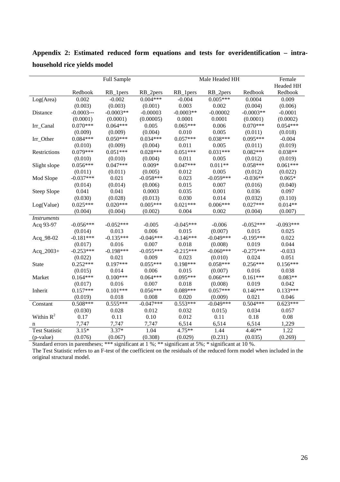|                       | Full Sample  |             |             | Male Headed HH | Female      |             |             |
|-----------------------|--------------|-------------|-------------|----------------|-------------|-------------|-------------|
|                       |              |             |             |                |             |             | Headed HH   |
|                       | Redbook      | RB_1pers    | RB_2pers    | RB_1pers       | RB_2pers    | Redbook     | Redbook     |
| Log(Area)             | 0.002        | $-0.002$    | $0.004***$  | $-0.004$       | $0.005***$  | 0.0004      | 0.009       |
|                       | (0.003)      | (0.003)     | (0.001)     | 0.003          | 0.002       | (0.004)     | (0.006)     |
| Distance              | $-0.0003***$ | $-0.0003**$ | $-0.00003$  | $-0.0003**$    | $-0.00002$  | $-0.0003**$ | $-0.0001$   |
|                       | (0.0001)     | (0.0001)    | (0.00005)   | 0.0001         | 0.0001      | (0.0001)    | (0.0002)    |
| Irr_Canal             | $0.070***$   | $0.064***$  | 0.005       | $0.065***$     | 0.006       | $0.070***$  | $0.054***$  |
|                       | (0.009)      | (0.009)     | (0.004)     | 0.010          | 0.005       | (0.011)     | (0.018)     |
| Irr_Other             | $0.084***$   | $0.050***$  | $0.034***$  | $0.057***$     | $0.038***$  | $0.095***$  | $-0.004$    |
|                       | (0.010)      | (0.009)     | (0.004)     | 0.011          | 0.005       | (0.011)     | (0.019)     |
| Restrictions          | $0.079***$   | $0.051***$  | $0.028***$  | $0.051***$     | $0.031***$  | $0.082***$  | $0.038**$   |
|                       | (0.010)      | (0.010)     | (0.004)     | 0.011          | 0.005       | (0.012)     | (0.019)     |
| Slight slope          | $0.056***$   | $0.047***$  | $0.009*$    | $0.047***$     | $0.011**$   | $0.058***$  | $0.061***$  |
|                       | (0.011)      | (0.011)     | (0.005)     | 0.012          | 0.005       | (0.012)     | (0.022)     |
| Mod Slope             | $-0.037***$  | 0.021       | $-0.058***$ | 0.023          | $-0.059***$ | $-0.036**$  | $0.065*$    |
|                       | (0.014)      | (0.014)     | (0.006)     | 0.015          | 0.007       | (0.016)     | (0.040)     |
| Steep Slope           | 0.041        | 0.041       | 0.0003      | 0.035          | 0.001       | 0.036       | 0.097       |
|                       | (0.030)      | (0.028)     | (0.013)     | 0.030          | 0.014       | (0.032)     | (0.110)     |
| Log(Value)            | $0.025***$   | $0.020***$  | $0.005***$  | $0.021***$     | $0.006***$  | $0.027***$  | $0.014**$   |
|                       | (0.004)      | (0.004)     | (0.002)     | 0.004          | 0.002       | (0.004)     | (0.007)     |
| <b>Instruments</b>    |              |             |             |                |             |             |             |
| Acq 93-97             | $-0.056***$  | $-0.052***$ | $-0.005$    | $-0.045***$    | $-0.006$    | $-0.052***$ | $-0.093***$ |
|                       | (0.014)      | 0.013       | 0.006       | 0.015          | (0.007)     | 0.015       | 0.025       |
| Acq_98-02             | $-0.181***$  | $-0.135***$ | $-0.046***$ | $-0.146***$    | $-0.049***$ | $-0.195***$ | 0.022       |
|                       | (0.017)      | 0.016       | 0.007       | 0.018          | (0.008)     | 0.019       | 0.044       |
| $Acq_{2003+}$         | $-0.253***$  | $-0.198***$ | $-0.055***$ | $-0.215***$    | $-0.060***$ | $-0.275***$ | $-0.033$    |
|                       | (0.022)      | 0.021       | 0.009       | 0.023          | (0.010)     | 0.024       | 0.051       |
| <b>State</b>          | $0.252***$   | $0.197***$  | $0.055***$  | $0.198***$     | $0.058***$  | $0.256***$  | $0.156***$  |
|                       | (0.015)      | 0.014       | 0.006       | 0.015          | (0.007)     | 0.016       | 0.038       |
| Market                | $0.164***$   | $0.100***$  | $0.064***$  | $0.095***$     | $0.066***$  | $0.161***$  | $0.083**$   |
|                       | (0.017)      | 0.016       | 0.007       | 0.018          | (0.008)     | 0.019       | 0.042       |
| Inherit               | $0.157***$   | $0.101***$  | $0.056***$  | $0.089***$     | $0.057***$  | $0.146***$  | $0.133***$  |
|                       | (0.019)      | 0.018       | 0.008       | 0.020          | (0.009)     | 0.021       | 0.046       |
| Constant              | $0.508***$   | $0.555***$  | $-0.047***$ | $0.553***$     | $-0.049***$ | $0.504***$  | $0.623***$  |
|                       | (0.030)      | 0.028       | 0.012       | 0.032          | 0.015       | 0.034       | 0.057       |
| Within $R^2$          | 0.17         | 0.11        | 0.10        | 0.012          | 0.11        | 0.18        | 0.08        |
| n                     | 7,747        | 7,747       | 7,747       | 6,514          | 6,514       | 6,514       | 1,229       |
| <b>Test Statistic</b> | $3.15*$      | $3.37*$     | 1.04        | $4.75**$       | 1.44        | $4.46**$    | 1.22        |
| (p-value)             | (0.076)      | (0.067)     | (0.308)     | (0.029)        | (0.231)     | (0.035)     | (0.269)     |

**Appendix 2: Estimated reduced form equations and tests for overidentification – intrahousehold rice yields model**

Standard errors in parentheses; \*\*\* significant at 1 %; \*\* significant at 5%; \* significant at 10 %. The Test Statistic refers to an F-test of the coefficient on the residuals of the reduced form model when included in the original structural model.